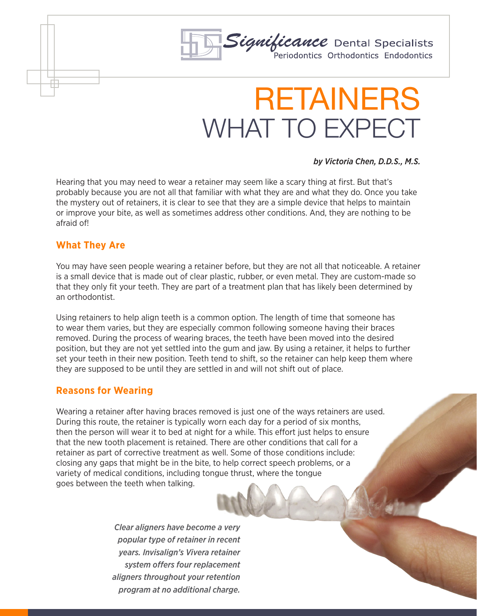

# RETAINERS WHAT TO EXPECT

#### *by Victoria Chen, D.D.S., M.S.*

Hearing that you may need to wear a retainer may seem like a scary thing at first. But that's probably because you are not all that familiar with what they are and what they do. Once you take the mystery out of retainers, it is clear to see that they are a simple device that helps to maintain or improve your bite, as well as sometimes address other conditions. And, they are nothing to be afraid of!

### **What They Are**

You may have seen people wearing a retainer before, but they are not all that noticeable. A retainer is a small device that is made out of clear plastic, rubber, or even metal. They are custom-made so that they only fit your teeth. They are part of a treatment plan that has likely been determined by an orthodontist.

Using retainers to help align teeth is a common option. The length of time that someone has to wear them varies, but they are especially common following someone having their braces removed. During the process of wearing braces, the teeth have been moved into the desired position, but they are not yet settled into the gum and jaw. By using a retainer, it helps to further set your teeth in their new position. Teeth tend to shift, so the retainer can help keep them where they are supposed to be until they are settled in and will not shift out of place.

### **Reasons for Wearing**

Wearing a retainer after having braces removed is just one of the ways retainers are used. During this route, the retainer is typically worn each day for a period of six months, then the person will wear it to bed at night for a while. This effort just helps to ensure that the new tooth placement is retained. There are other conditions that call for a retainer as part of corrective treatment as well. Some of those conditions include: closing any gaps that might be in the bite, to help correct speech problems, or a variety of medical conditions, including tongue thrust, where the tongue goes between the teeth when talking.

> *Clear aligners have become a very popular type of retainer in recent years. Invisalign's Vivera retainer system offers four replacement aligners throughout your retention program at no additional charge.*